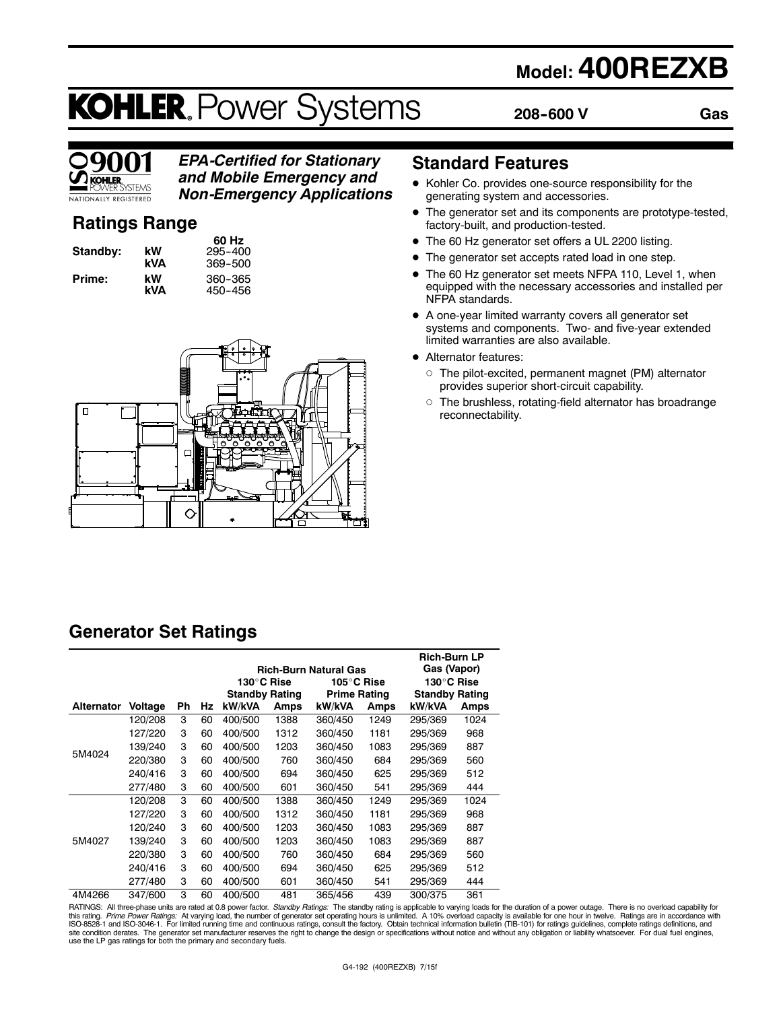## **Model: 400REZXB**

# **KOHLER. Power Systems**

**208--600 V**

**Gas**



### *EPA-Certified for Stationary and Mobile Emergency and*

*Non-Emergency Applications*

### **Ratings Range**

| Standby: | kW<br>kVA              |
|----------|------------------------|
| Prime:   | kW<br>I . 1 <i>I A</i> |

**60 Hz Standby: kW** 295--400 **kVA** 369--500 **Prime: kW** 360--365 **kVA** 450-456



### **Standard Features**

- $\bullet$  Kohler Co. provides one-source responsibility for the generating system and accessories.
- The generator set and its components are prototype-tested, factory-built, and production-tested.
- The 60 Hz generator set offers a UL 2200 listing.
- The generator set accepts rated load in one step.
- The 60 Hz generator set meets NFPA 110, Level 1, when equipped with the necessary accessories and installed per NFPA standards.
- $\bullet$  A one-year limited warranty covers all generator set systems and components. Two- and five-year extended limited warranties are also available.
- Alternator features:
	- $\circ$  The pilot-excited, permanent magnet (PM) alternator provides superior short-circuit capability.
	- $\circ$  The brushless, rotating-field alternator has broadrange reconnectability.

### **Generator Set Ratings**

|                   |                                        |    |    |                       |      | <b>Rich-Burn Natural Gas</b> |      | <b>Rich-Burn LP</b><br>Gas (Vapor) |      |
|-------------------|----------------------------------------|----|----|-----------------------|------|------------------------------|------|------------------------------------|------|
|                   | 130°C Rise<br>130°C Rise<br>105°C Rise |    |    |                       |      |                              |      |                                    |      |
|                   |                                        |    |    | <b>Standby Rating</b> |      | <b>Prime Rating</b>          |      | <b>Standby Rating</b>              |      |
| <b>Alternator</b> | Voltage                                | Ph | Hz | kW/kVA                | Amps | kW/kVA                       | Amps | kW/kVA                             | Amps |
|                   | 120/208                                | 3  | 60 | 400/500               | 1388 | 360/450                      | 1249 | 295/369                            | 1024 |
|                   | 127/220                                | 3  | 60 | 400/500               | 1312 | 360/450                      | 1181 | 295/369                            | 968  |
|                   | 139/240                                | 3  | 60 | 400/500               | 1203 | 360/450                      | 1083 | 295/369                            | 887  |
| 5M4024            | 220/380                                | 3  | 60 | 400/500               | 760  | 360/450                      | 684  | 295/369                            | 560  |
|                   | 240/416                                | 3  | 60 | 400/500               | 694  | 360/450                      | 625  | 295/369                            | 512  |
|                   | 277/480                                | 3  | 60 | 400/500               | 601  | 360/450                      | 541  | 295/369                            | 444  |
|                   | 120/208                                | 3  | 60 | 400/500               | 1388 | 360/450                      | 1249 | 295/369                            | 1024 |
|                   | 127/220                                | 3  | 60 | 400/500               | 1312 | 360/450                      | 1181 | 295/369                            | 968  |
|                   | 120/240                                | 3  | 60 | 400/500               | 1203 | 360/450                      | 1083 | 295/369                            | 887  |
| 5M4027            | 139/240                                | 3  | 60 | 400/500               | 1203 | 360/450                      | 1083 | 295/369                            | 887  |
|                   | 220/380                                | 3  | 60 | 400/500               | 760  | 360/450                      | 684  | 295/369                            | 560  |
|                   | 240/416                                | 3  | 60 | 400/500               | 694  | 360/450                      | 625  | 295/369                            | 512  |
|                   | 277/480                                | 3  | 60 | 400/500               | 601  | 360/450                      | 541  | 295/369                            | 444  |
| 4M4266            | 347/600                                | 3  | 60 | 400/500               | 481  | 365/456                      | 439  | 300/375                            | 361  |

RATINGS: All three-phase units are rated at 0.8 power factor. *Standby Ratings*: The standby rating is applicable to varying loads for the duration of a power outage. There is no overload capability for<br>this rating. *Prime* use the LP gas ratings for both the primary and secondary fuels.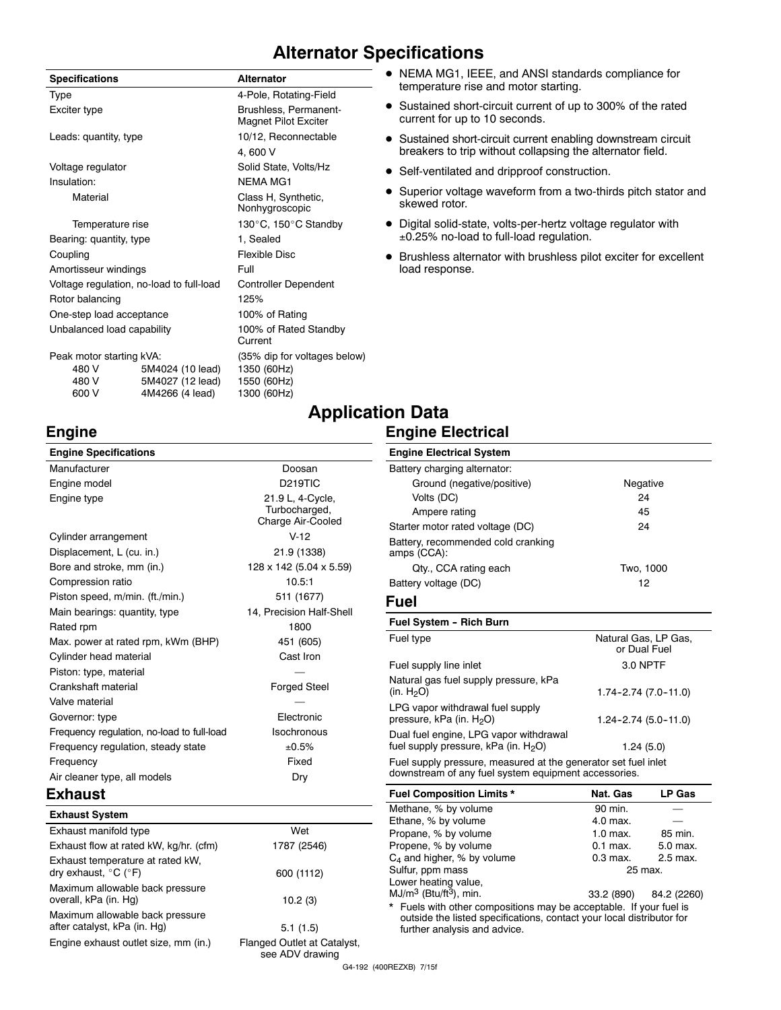### **Alternator Specifications**

| <b>Specifications</b>                               |                                                         | <b>Alternator</b>                                                             |
|-----------------------------------------------------|---------------------------------------------------------|-------------------------------------------------------------------------------|
| Type                                                |                                                         | 4-Pole, Rotating-Field                                                        |
| Exciter type                                        |                                                         | Brushless, Permanent-<br><b>Magnet Pilot Exciter</b>                          |
| Leads: quantity, type                               |                                                         | 10/12, Reconnectable                                                          |
|                                                     |                                                         | 4,600 V                                                                       |
| Voltage regulator                                   |                                                         | Solid State, Volts/Hz                                                         |
| Insulation:                                         |                                                         | <b>NFMA MG1</b>                                                               |
| Material                                            |                                                         | Class H, Synthetic,<br>Nonhygroscopic                                         |
| Temperature rise                                    |                                                         | 130°C, 150°C Standby                                                          |
| Bearing: quantity, type                             |                                                         | 1, Sealed                                                                     |
| Coupling                                            |                                                         | <b>Flexible Disc</b>                                                          |
| Amortisseur windings                                |                                                         | Full                                                                          |
| Voltage regulation, no-load to full-load            |                                                         | <b>Controller Dependent</b>                                                   |
| Rotor balancing                                     |                                                         | 125%                                                                          |
| One-step load acceptance                            |                                                         | 100% of Rating                                                                |
| Unbalanced load capability                          |                                                         | 100% of Rated Standby<br>Current                                              |
| Peak motor starting kVA:<br>480 V<br>480 V<br>600 V | 5M4024 (10 lead)<br>5M4027 (12 lead)<br>4M4266 (4 lead) | (35% dip for voltages below)<br>1350 (60Hz)<br>1550 (60Hz)<br>1300 (60Hz)<br> |

- NEMA MG1, IEEE, and ANSI standards compliance for temperature rise and motor starting.
- Sustained short-circuit current of up to 300% of the rated current for up to 10 seconds.
- Sustained short-circuit current enabling downstream circuit breakers to trip without collapsing the alternator field.
- Self-ventilated and dripproof construction.
- Superior voltage waveform from a two-thirds pitch stator and skewed rotor.
- $\bullet$  Digital solid-state, volts-per-hertz voltage regulator with 0.25% no-load to full-load regulation.
- $\bullet$  Brushless alternator with brushless pilot exciter for excellent load response.

### **Engine**

| <b>Engine Specifications</b>               |                                                        |
|--------------------------------------------|--------------------------------------------------------|
| Manufacturer                               | Doosan                                                 |
| Engine model                               | D <sub>219</sub> TIC                                   |
| Engine type                                | 21.9 L, 4-Cycle,<br>Turbocharged,<br>Charge Air-Cooled |
| Cylinder arrangement                       | $V-12$                                                 |
| Displacement, L (cu. in.)                  | 21.9 (1338)                                            |
| Bore and stroke, mm (in.)                  | 128 x 142 (5.04 x 5.59)                                |
| Compression ratio                          | 10.5:1                                                 |
| Piston speed, m/min. (ft./min.)            | 511 (1677)                                             |
| Main bearings: quantity, type              | 14, Precision Half-Shell                               |
| Rated rpm                                  | 1800                                                   |
| Max. power at rated rpm, kWm (BHP)         | 451 (605)                                              |
| Cylinder head material                     | Cast Iron                                              |
| Piston: type, material                     |                                                        |
| Crankshaft material                        | <b>Forged Steel</b>                                    |
| Valve material                             |                                                        |
| Governor: type                             | Electronic                                             |
| Frequency regulation, no-load to full-load | Isochronous                                            |
| Frequency regulation, steady state         | ±0.5%                                                  |
| Frequency                                  | Fixed                                                  |
| Air cleaner type, all models               | Dry                                                    |
| Exhaust                                    |                                                        |

| <b>Exhaust System</b>                                                         |                                                |
|-------------------------------------------------------------------------------|------------------------------------------------|
| Exhaust manifold type                                                         | Wet                                            |
| Exhaust flow at rated kW, kg/hr. (cfm)                                        | 1787 (2546)                                    |
| Exhaust temperature at rated kW.<br>dry exhaust, $^{\circ}$ C ( $^{\circ}$ F) | 600 (1112)                                     |
| Maximum allowable back pressure<br>overall, kPa (in. Hg)                      | 10.2(3)                                        |
| Maximum allowable back pressure<br>after catalyst, kPa (in. Hg)               | 5.1(1.5)                                       |
| Engine exhaust outlet size, mm (in.)                                          | Flanged Outlet at Catalyst,<br>see ADV drawing |

## **Application Data**

### **Engine Electrical**

| <b>Engine Electrical System</b>                        |                                      |
|--------------------------------------------------------|--------------------------------------|
| Battery charging alternator:                           |                                      |
| Ground (negative/positive)                             | Negative                             |
| Volts (DC)                                             | 24                                   |
| Ampere rating                                          | 45                                   |
| Starter motor rated voltage (DC)                       | 24                                   |
| Battery, recommended cold cranking<br>amps (CCA):      |                                      |
| Qty., CCA rating each                                  | Two, 1000                            |
| Battery voltage (DC)                                   | 12                                   |
| Fuel                                                   |                                      |
| <b>Fuel System - Rich Burn</b>                         |                                      |
| Fuel type                                              | Natural Gas, LP Gas,<br>or Dual Fuel |
| Fuel supply line inlet                                 | 3.0 NPTF                             |
| Natural gas fuel supply pressure, kPa<br>(in. $H_2O$ ) | $1.74 - 2.74$ (7.0 - 11.0)           |
| LPG vapor withdrawal fuel supply                       |                                      |

fuel supply pressure,  $kPa$  (in.  $H<sub>2</sub>O$ ) 1.24 (5.0) Fuel supply pressure, measured at the generator set fuel inlet downstream of any fuel system equipment accessories.

Dual fuel engine, LPG vapor withdrawal

pressure, kPa (in.  $H<sub>2</sub>O$ ) 1.24-2.74 (5.0-11.0)

| <b>Fuel Composition Limits *</b>                                                                                                                                            | Nat. Gas   | <b>LP Gas</b>          |
|-----------------------------------------------------------------------------------------------------------------------------------------------------------------------------|------------|------------------------|
| Methane, % by volume                                                                                                                                                        | 90 min.    |                        |
| Ethane, % by volume                                                                                                                                                         | 4.0 max.   |                        |
| Propane, % by volume                                                                                                                                                        | $1.0$ max. | 85 min.                |
| Propene, % by volume                                                                                                                                                        | $0.1$ max. | 5.0 max.               |
| $C_4$ and higher, % by volume                                                                                                                                               | $0.3$ max. | 2.5 max.               |
| Sulfur, ppm mass                                                                                                                                                            | 25 max.    |                        |
| Lower heating value,                                                                                                                                                        |            |                        |
| $MJ/m3$ (Btu/ft <sup>3</sup> ), min.                                                                                                                                        |            | 33.2 (890) 84.2 (2260) |
| * Fuels with other compositions may be acceptable. If your fuel is<br>outside the listed specifications, contact your local distributor for<br>further analysis and advice. |            |                        |

G4-192 (400REZXB) 7/15f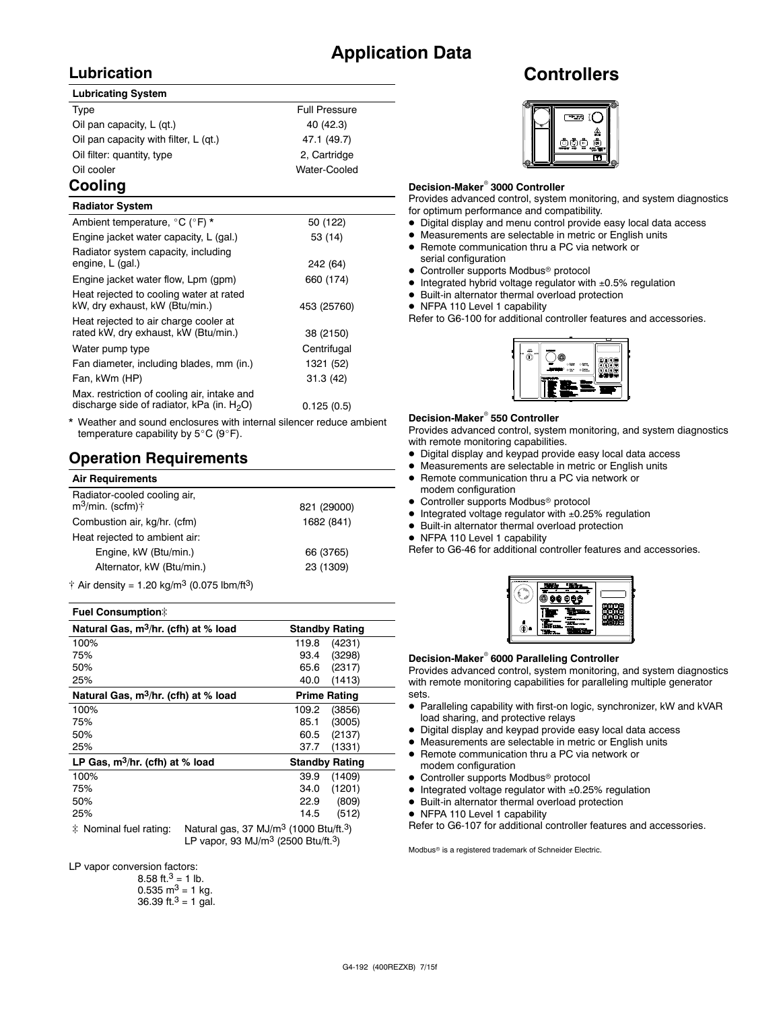### **Application Data**

### **Lubrication**

#### **Lubricating System**

| Type                                  | <b>Full Pressure</b> |
|---------------------------------------|----------------------|
| Oil pan capacity, L (gt.)             | 40 (42.3)            |
| Oil pan capacity with filter, L (qt.) | 47.1 (49.7)          |
| Oil filter: quantity, type            | 2, Cartridge         |
| Oil cooler                            | Water-Cooled         |
|                                       |                      |

### **Cooling**

| <b>Radiator System</b>                                                                       |             |
|----------------------------------------------------------------------------------------------|-------------|
| Ambient temperature, °C (°F) *                                                               | 50 (122)    |
| Engine jacket water capacity, L (gal.)                                                       | 53 (14)     |
| Radiator system capacity, including<br>engine, L (gal.)                                      | 242 (64)    |
| Engine jacket water flow, Lpm (gpm)                                                          | 660 (174)   |
| Heat rejected to cooling water at rated<br>kW, dry exhaust, kW (Btu/min.)                    | 453 (25760) |
| Heat rejected to air charge cooler at<br>rated kW, dry exhaust, kW (Btu/min.)                | 38 (2150)   |
| Water pump type                                                                              | Centrifugal |
| Fan diameter, including blades, mm (in.)                                                     | 1321 (52)   |
| Fan, kWm (HP)                                                                                | 31.3(42)    |
| Max. restriction of cooling air, intake and<br>discharge side of radiator, kPa (in. $H_2O$ ) | 0.125(0.5)  |
|                                                                                              |             |

Weather and sound enclosures with internal silencer reduce ambient temperature capability by  $5^{\circ}$ C (9 $^{\circ}$ F).

### **Operation Requirements**

| <b>Air Requirements</b>                                      |             |  |
|--------------------------------------------------------------|-------------|--|
| Radiator-cooled cooling air,<br>$m^3$ /min. (scfm) $\dagger$ | 821 (29000) |  |
| Combustion air, kg/hr. (cfm)                                 | 1682 (841)  |  |
| Heat rejected to ambient air:                                |             |  |
| Engine, kW (Btu/min.)                                        | 66 (3765)   |  |
| Alternator, kW (Btu/min.)                                    | 23 (1309)   |  |
| $A = 0.5$ denote $A = 0.01$ and $A = 3$ (0.075 lbs. $(0.3)$  |             |  |

 $\dagger$  Air density = 1.20 kg/m<sup>3</sup> (0.075 lbm/ft<sup>3</sup>)

#### **Fuel Consumption**]

| Natural Gas, m <sup>3</sup> /hr. (cfh) at % load                                                                    | <b>Standby Rating</b> |
|---------------------------------------------------------------------------------------------------------------------|-----------------------|
| 100%                                                                                                                | 119.8<br>(4231)       |
| 75%                                                                                                                 | 93.4<br>(3298)        |
| 50%                                                                                                                 | 65.6<br>(2317)        |
| 25%                                                                                                                 | 40.0<br>(1413)        |
| Natural Gas, m <sup>3</sup> /hr. (cfh) at % load                                                                    | <b>Prime Rating</b>   |
| 100%                                                                                                                | 109.2<br>(3856)       |
| 75%                                                                                                                 | (3005)<br>85.1        |
| 50%                                                                                                                 | 60.5<br>(2137)        |
| 25%                                                                                                                 | (1331)<br>37.7        |
| LP Gas, $m^3/hr$ . (cfh) at % load                                                                                  | <b>Standby Rating</b> |
| 100%                                                                                                                | 39.9<br>(1409)        |
| 75%                                                                                                                 | (1201)<br>34.0        |
| 50%                                                                                                                 | 22.9<br>(809)         |
| 25%                                                                                                                 | 14.5<br>(512)         |
| $\pm$ M, $\pm$ 1 f it $\pm$ 1 $\pm$ 1 $\pm$ 1 $\pm$ 1 $\pm$ 1 $\pm$ 1 $\pm$ 2 $\pm$ 1 $\pm$ 1 $\pm$ 1 $\pm$ 2 $\pm$ |                       |

 $\ddagger$  Nominal fuel rating: Natural gas, 37 MJ/m<sup>3</sup> (1000 Btu/ft.<sup>3</sup>) LP vapor, 93 MJ/ $m^3$  (2500 Btu/ft.<sup>3</sup>)

LP vapor conversion factors:

| 8.58 ft. <sup>3</sup> = 1 lb.        |
|--------------------------------------|
| $0.535 \text{ m}^3 = 1 \text{ kg}$ . |
| 36.39 ft. $3 = 1$ gal.               |

### **Controllers**



#### **Decision-Maker<sup>®</sup> 3000 Controller**

Provides advanced control, system monitoring, and system diagnostics for optimum performance and compatibility.

- $\bullet$  Digital display and menu control provide easy local data access
- $\bullet$  Measurements are selectable in metric or English units
- Remote communication thru a PC via network or serial configuration
- Controller supports Modbus<sup>®</sup> protocol
- $\bullet$  Integrated hybrid voltage regulator with  $\pm 0.5\%$  regulation
- $\bullet$  Built-in alternator thermal overload protection
- NFPA 110 Level 1 capability

Refer to G6-100 for additional controller features and accessories.



#### **Decision-Maker<sup>®</sup> 550 Controller**

Provides advanced control, system monitoring, and system diagnostics with remote monitoring capabilities.

- $\bullet$  Digital display and keypad provide easy local data access
- $\bullet$  Measurements are selectable in metric or English units
- Remote communication thru a PC via network or
- modem configuration  $\bullet$  Controller supports Modbus<sup>®</sup> protocol
- $\bullet$  Integrated voltage regulator with  $\pm 0.25\%$  regulation
- $\bullet$  Built-in alternator thermal overload protection
- NFPA 110 Level 1 capability

Refer to G6-46 for additional controller features and accessories.

| p. |  |
|----|--|
|    |  |
|    |  |
|    |  |
|    |  |
|    |  |

#### **Decision-Maker<sup>®</sup> 6000 Paralleling Controller**

Provides advanced control, system monitoring, and system diagnostics with remote monitoring capabilities for paralleling multiple generator sets.

- Paralleling capability with first-on logic, synchronizer, kW and kVAR load sharing, and protective relays
- $\bullet$  Digital display and keypad provide easy local data access
- $\bullet$  Measurements are selectable in metric or English units
- Remote communication thru a PC via network or modem configuration
- $\bullet$  Controller supports Modbus<sup>®</sup> protocol
- $\bullet$  Integrated voltage regulator with  $\pm 0.25\%$  regulation
- $\bullet$  Built-in alternator thermal overload protection
- NFPA 110 Level 1 capability

Refer to G6-107 for additional controller features and accessories.

Modbus<sup>®</sup> is a registered trademark of Schneider Electric.